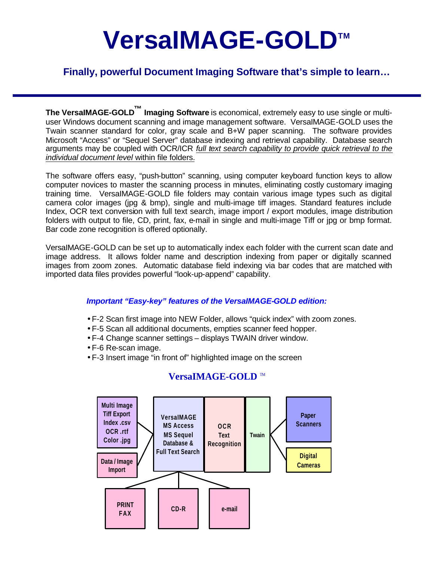# **VersaIMAGE-GOLDTM**

## **Finally, powerful Document Imaging Software that's simple to learn…**

**The VersaIMAGE-GOLD ™ Imaging Software** is economical, extremely easy to use single or multiuser Windows document scanning and image management software. VersaIMAGE-GOLD uses the Twain scanner standard for color, gray scale and B+W paper scanning. The software provides Microsoft "Access" or "Sequel Server" database indexing and retrieval capability. Database search arguments may be coupled with OCR/ICR *full text search capability to provide quick retrieval to the individual document level* within file folders.

The software offers easy, "push-button" scanning, using computer keyboard function keys to allow computer novices to master the scanning process in minutes, eliminating costly customary imaging training time. VersaIMAGE-GOLD file folders may contain various image types such as digital camera color images (jpg & bmp), single and multi-image tiff images. Standard features include Index, OCR text conversion with full text search, image import / export modules, image distribution folders with output to file, CD, print, fax, e-mail in single and multi-image Tiff or jpg or bmp format. Bar code zone recognition is offered optionally.

VersaIMAGE-GOLD can be set up to automatically index each folder with the current scan date and image address. It allows folder name and description indexing from paper or digitally scanned images from zoom zones. Automatic database field indexing via bar codes that are matched with imported data files provides powerful "look-up-append" capability.

#### *Important "Easy-key" features of the VersaIMAGE-GOLD edition:*

- F-2 Scan first image into NEW Folder, allows "quick index" with zoom zones.
- F-5 Scan all additional documents, empties scanner feed hopper.
- F-4 Change scanner settings displays TWAIN driver window.
- F-6 Re-scan image.
- F-3 Insert image "in front of" highlighted image on the screen



### **VersaIMAGE-GOLD** ™